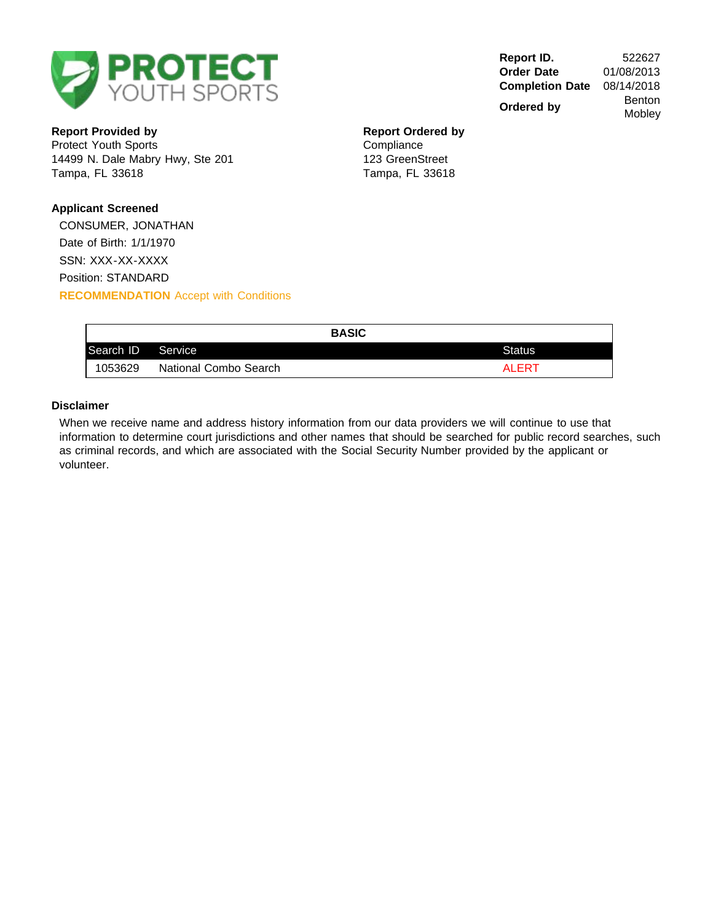

**Report Provided by** Protect Youth Sports 14499 N. Dale Mabry Hwy, Ste 201 Tampa, FL 33618

**Order Date** 01/08/2013 **Completion Date** 08/14/2018 **Ordered by** Benton

**Report ID.** 522627 **Mobley** 

#### **Report Ordered by Compliance** 123 GreenStreet Tampa, FL 33618

#### **Applicant Screened**

CONSUMER, JONATHAN Date of Birth: 1/1/1970 SSN: XXX-XX-XXXX Position: STANDARD **RECOMMENDATION** Accept with Conditions

|           |                       | <b>BASIC</b> |               |
|-----------|-----------------------|--------------|---------------|
| Search ID | Service               |              | <b>Status</b> |
| 1053629   | National Combo Search |              | <b>ALERT</b>  |

#### **Disclaimer**

When we receive name and address history information from our data providers we will continue to use that information to determine court jurisdictions and other names that should be searched for public record searches, such as criminal records, and which are associated with the Social Security Number provided by the applicant or volunteer.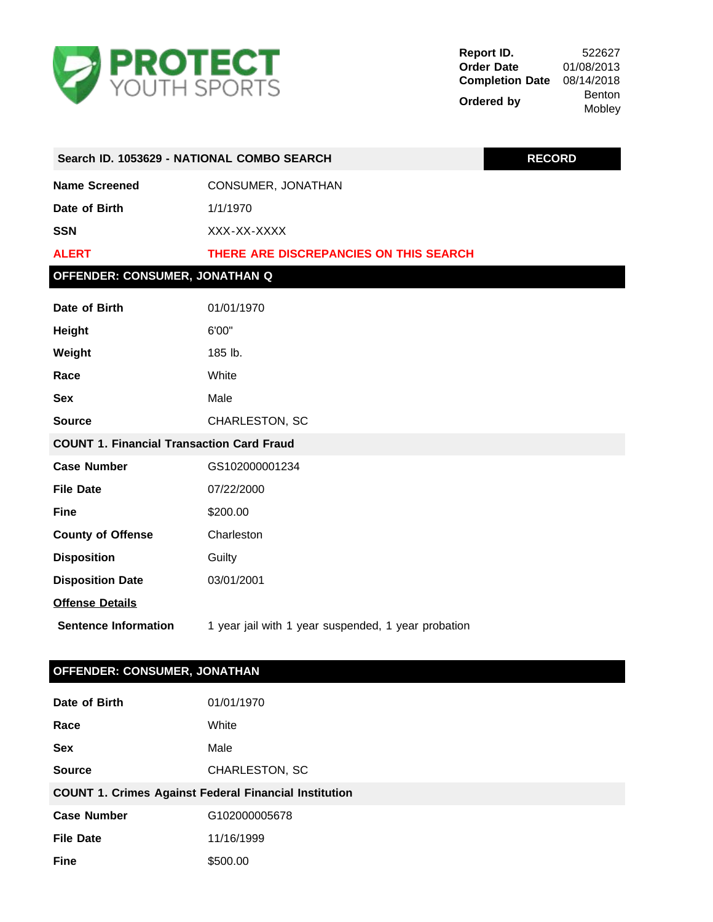

| 522627        |
|---------------|
| 01/08/2013    |
| 08/14/2018    |
| <b>Benton</b> |
| Mobley        |
|               |

| <b>RECORD</b><br>Search ID. 1053629 - NATIONAL COMBO SEARCH |                                                     |  |  |
|-------------------------------------------------------------|-----------------------------------------------------|--|--|
| <b>Name Screened</b>                                        | CONSUMER, JONATHAN                                  |  |  |
| Date of Birth                                               | 1/1/1970                                            |  |  |
| <b>SSN</b>                                                  | XXX-XX-XXXX                                         |  |  |
| <b>ALERT</b>                                                | THERE ARE DISCREPANCIES ON THIS SEARCH              |  |  |
| OFFENDER: CONSUMER, JONATHAN Q                              |                                                     |  |  |
| Date of Birth                                               | 01/01/1970                                          |  |  |
| <b>Height</b>                                               | 6'00"                                               |  |  |
| Weight                                                      | 185 lb.                                             |  |  |
| Race                                                        | White                                               |  |  |
| <b>Sex</b>                                                  | Male                                                |  |  |
| <b>Source</b>                                               | CHARLESTON, SC                                      |  |  |
| <b>COUNT 1. Financial Transaction Card Fraud</b>            |                                                     |  |  |
| <b>Case Number</b>                                          | GS102000001234                                      |  |  |
| <b>File Date</b>                                            | 07/22/2000                                          |  |  |
| <b>Fine</b>                                                 | \$200.00                                            |  |  |
| <b>County of Offense</b>                                    | Charleston                                          |  |  |
| <b>Disposition</b>                                          | Guilty                                              |  |  |
| <b>Disposition Date</b>                                     | 03/01/2001                                          |  |  |
| <b>Offense Details</b>                                      |                                                     |  |  |
| <b>Sentence Information</b>                                 | 1 year jail with 1 year suspended, 1 year probation |  |  |

## **OFFENDER: CONSUMER, JONATHAN**

| Date of Birth                                                | 01/01/1970     |
|--------------------------------------------------------------|----------------|
| Race                                                         | White          |
| Sex                                                          | Male           |
| <b>Source</b>                                                | CHARLESTON, SC |
| <b>COUNT 1. Crimes Against Federal Financial Institution</b> |                |
| <b>Case Number</b>                                           | G102000005678  |
| <b>File Date</b>                                             | 11/16/1999     |
| <b>Fine</b>                                                  | \$500.00       |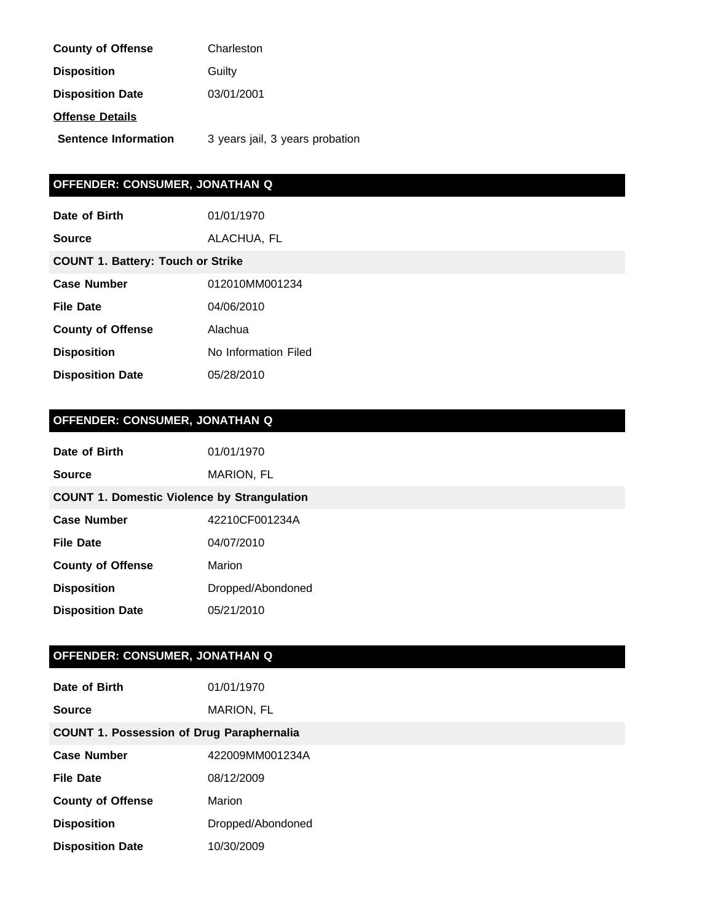| Charleston                      |
|---------------------------------|
| Guilty                          |
| 03/01/2001                      |
|                                 |
| 3 years jail, 3 years probation |
|                                 |

# **OFFENDER: CONSUMER, JONATHAN Q**

| Date of Birth                            | 01/01/1970           |  |  |
|------------------------------------------|----------------------|--|--|
| Source                                   | ALACHUA, FL          |  |  |
| <b>COUNT 1. Battery: Touch or Strike</b> |                      |  |  |
| <b>Case Number</b>                       | 012010MM001234       |  |  |
| File Date                                | 04/06/2010           |  |  |
| <b>County of Offense</b>                 | Alachua              |  |  |
| <b>Disposition</b>                       | No Information Filed |  |  |
| <b>Disposition Date</b>                  | 05/28/2010           |  |  |

## **OFFENDER: CONSUMER, JONATHAN Q**

| Date of Birth                                      | 01/01/1970        |  |  |
|----------------------------------------------------|-------------------|--|--|
| Source                                             | <b>MARION, FL</b> |  |  |
| <b>COUNT 1. Domestic Violence by Strangulation</b> |                   |  |  |
| <b>Case Number</b>                                 | 42210CF001234A    |  |  |
| File Date                                          | 04/07/2010        |  |  |
| <b>County of Offense</b>                           | Marion            |  |  |
| <b>Disposition</b>                                 | Dropped/Abondoned |  |  |
| <b>Disposition Date</b>                            | 05/21/2010        |  |  |

## **OFFENDER: CONSUMER, JONATHAN Q**

| Date of Birth                                    | 01/01/1970        |  |  |
|--------------------------------------------------|-------------------|--|--|
| <b>Source</b>                                    | MARION, FL        |  |  |
| <b>COUNT 1. Possession of Drug Paraphernalia</b> |                   |  |  |
| <b>Case Number</b>                               | 422009MM001234A   |  |  |
| <b>File Date</b>                                 | 08/12/2009        |  |  |
| <b>County of Offense</b>                         | Marion            |  |  |
| <b>Disposition</b>                               | Dropped/Abondoned |  |  |
| <b>Disposition Date</b>                          | 10/30/2009        |  |  |